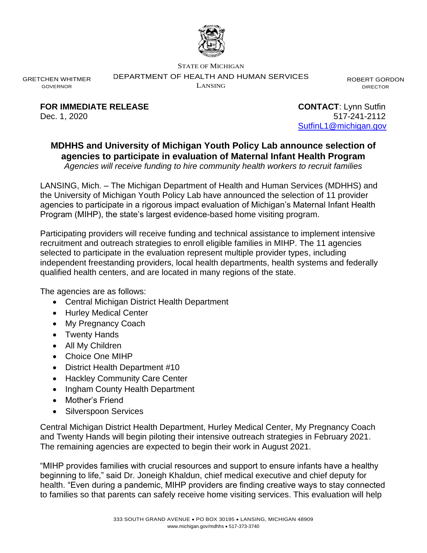

STATE OF MICHIGAN

DEPARTMENT OF HEALTH AND HUMAN SERVICES

LANSING

ROBERT GORDON DIRECTOR

GRETCHEN WHITMER GOVERNOR

**FOR IMMEDIATE RELEASE CONTACT:** Lynn Sutfin

Dec. 1, 2020 517-241-2112 [SutfinL1@michigan.gov](mailto:SutfinL1@michigan.gov)

## **MDHHS and University of Michigan Youth Policy Lab announce selection of agencies to participate in evaluation of Maternal Infant Health Program**

*Agencies will receive funding to hire community health workers to recruit families* 

LANSING, Mich. – The Michigan Department of Health and Human Services (MDHHS) and the University of Michigan Youth Policy Lab have announced the selection of 11 provider agencies to participate in a rigorous impact evaluation of Michigan's Maternal Infant Health Program (MIHP), the state's largest evidence-based home visiting program.

Participating providers will receive funding and technical assistance to implement intensive recruitment and outreach strategies to enroll eligible families in MIHP. The 11 agencies selected to participate in the evaluation represent multiple provider types, including independent freestanding providers, local health departments, health systems and federally qualified health centers, and are located in many regions of the state.

The agencies are as follows:

- Central Michigan District Health Department
- Hurley Medical Center
- My Pregnancy Coach
- Twenty Hands
- All My Children
- Choice One MIHP
- District Health Department #10
- Hackley Community Care Center
- Ingham County Health Department
- Mother's Friend
- Silverspoon Services

Central Michigan District Health Department, Hurley Medical Center, My Pregnancy Coach and Twenty Hands will begin piloting their intensive outreach strategies in February 2021. The remaining agencies are expected to begin their work in August 2021.

"MIHP provides families with crucial resources and support to ensure infants have a healthy beginning to life," said Dr. Joneigh Khaldun, chief medical executive and chief deputy for health. "Even during a pandemic, MIHP providers are finding creative ways to stay connected to families so that parents can safely receive home visiting services. This evaluation will help